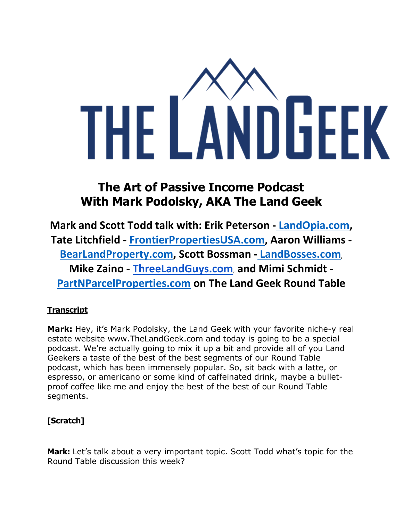

# **The Art of Passive Income Podcast With Mark Podolsky, AKA The Land Geek**

**Mark and Scott Todd talk with: Erik Peterson - [LandOpia.com,](https://landopia.com/) Tate Litchfield - [FrontierPropertiesUSA.com,](http://www.frontierpropertiesusa.com/) Aaron Williams [-](https://bearlandproperty.com/) [BearLandProperty.com,](https://bearlandproperty.com/) Scott Bossman - [LandBosses.com](https://www.landbosses.com/)**, **Mike Zaino - [ThreeLandGuys.com](https://threelandguys.com/)**, **and Mimi Schmidt [-](http://partnparcelproperties.com/) [PartNParcelProperties.com](http://partnparcelproperties.com/) on The Land Geek Round Table**

## **Transcript**

**Mark:** Hey, it's Mark Podolsky, the Land Geek with your favorite niche-y real estate website www.TheLandGeek.com and today is going to be a special podcast. We're actually going to mix it up a bit and provide all of you Land Geekers a taste of the best of the best segments of our Round Table podcast, which has been immensely popular. So, sit back with a latte, or espresso, or americano or some kind of caffeinated drink, maybe a bulletproof coffee like me and enjoy the best of the best of our Round Table segments.

# **[Scratch]**

**Mark:** Let's talk about a very important topic. Scott Todd what's topic for the Round Table discussion this week?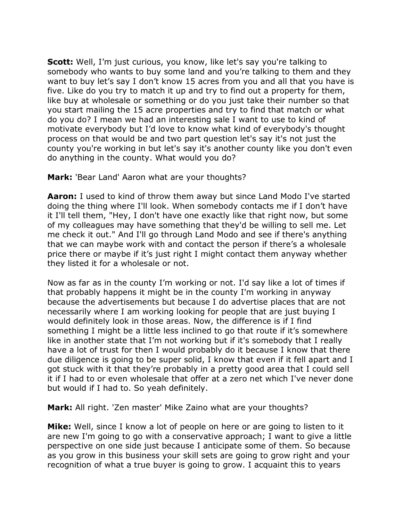**Scott:** Well, I'm just curious, you know, like let's say you're talking to somebody who wants to buy some land and you're talking to them and they want to buy let's say I don't know 15 acres from you and all that you have is five. Like do you try to match it up and try to find out a property for them, like buy at wholesale or something or do you just take their number so that you start mailing the 15 acre properties and try to find that match or what do you do? I mean we had an interesting sale I want to use to kind of motivate everybody but I'd love to know what kind of everybody's thought process on that would be and two part question let's say it's not just the county you're working in but let's say it's another county like you don't even do anything in the county. What would you do?

**Mark:** 'Bear Land' Aaron what are your thoughts?

**Aaron:** I used to kind of throw them away but since Land Modo I've started doing the thing where I'll look. When somebody contacts me if I don't have it I'll tell them, "Hey, I don't have one exactly like that right now, but some of my colleagues may have something that they'd be willing to sell me. Let me check it out." And I'll go through Land Modo and see if there's anything that we can maybe work with and contact the person if there's a wholesale price there or maybe if it's just right I might contact them anyway whether they listed it for a wholesale or not.

Now as far as in the county I'm working or not. I'd say like a lot of times if that probably happens it might be in the county I'm working in anyway because the advertisements but because I do advertise places that are not necessarily where I am working looking for people that are just buying I would definitely look in those areas. Now, the difference is if I find something I might be a little less inclined to go that route if it's somewhere like in another state that I'm not working but if it's somebody that I really have a lot of trust for then I would probably do it because I know that there due diligence is going to be super solid, I know that even if it fell apart and I got stuck with it that they're probably in a pretty good area that I could sell it if I had to or even wholesale that offer at a zero net which I've never done but would if I had to. So yeah definitely.

**Mark:** All right. 'Zen master' Mike Zaino what are your thoughts?

**Mike:** Well, since I know a lot of people on here or are going to listen to it are new I'm going to go with a conservative approach; I want to give a little perspective on one side just because I anticipate some of them. So because as you grow in this business your skill sets are going to grow right and your recognition of what a true buyer is going to grow. I acquaint this to years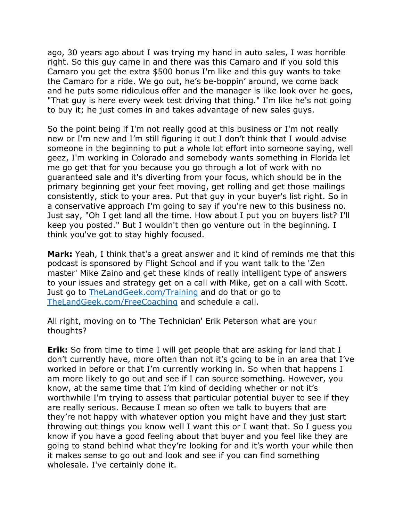ago, 30 years ago about I was trying my hand in auto sales, I was horrible right. So this guy came in and there was this Camaro and if you sold this Camaro you get the extra \$500 bonus I'm like and this guy wants to take the Camaro for a ride. We go out, he's be-boppin' around, we come back and he puts some ridiculous offer and the manager is like look over he goes, "That guy is here every week test driving that thing." I'm like he's not going to buy it; he just comes in and takes advantage of new sales guys.

So the point being if I'm not really good at this business or I'm not really new or I'm new and I'm still figuring it out I don't think that I would advise someone in the beginning to put a whole lot effort into someone saying, well geez, I'm working in Colorado and somebody wants something in Florida let me go get that for you because you go through a lot of work with no guaranteed sale and it's diverting from your focus, which should be in the primary beginning get your feet moving, get rolling and get those mailings consistently, stick to your area. Put that guy in your buyer's list right. So in a conservative approach I'm going to say if you're new to this business no. Just say, "Oh I get land all the time. How about I put you on buyers list? I'll keep you posted." But I wouldn't then go venture out in the beginning. I think you've got to stay highly focused.

**Mark:** Yeah, I think that's a great answer and it kind of reminds me that this podcast is sponsored by Flight School and if you want talk to the 'Zen master' Mike Zaino and get these kinds of really intelligent type of answers to your issues and strategy get on a call with Mike, get on a call with Scott. Just go to [TheLandGeek.com/Training](https://www.thelandgeek.com/Training) and do that or go to [TheLandGeek.com/FreeCoaching](https://thelandgeek.as.me/landgeekcoach) and schedule a call.

All right, moving on to 'The Technician' Erik Peterson what are your thoughts?

**Erik:** So from time to time I will get people that are asking for land that I don't currently have, more often than not it's going to be in an area that I've worked in before or that I'm currently working in. So when that happens I am more likely to go out and see if I can source something. However, you know, at the same time that I'm kind of deciding whether or not it's worthwhile I'm trying to assess that particular potential buyer to see if they are really serious. Because I mean so often we talk to buyers that are they're not happy with whatever option you might have and they just start throwing out things you know well I want this or I want that. So I guess you know if you have a good feeling about that buyer and you feel like they are going to stand behind what they're looking for and it's worth your while then it makes sense to go out and look and see if you can find something wholesale. I've certainly done it.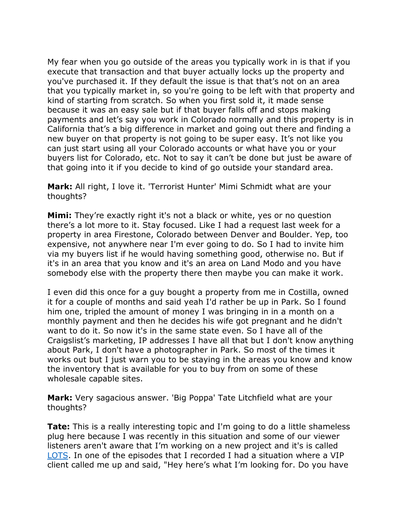My fear when you go outside of the areas you typically work in is that if you execute that transaction and that buyer actually locks up the property and you've purchased it. If they default the issue is that that's not on an area that you typically market in, so you're going to be left with that property and kind of starting from scratch. So when you first sold it, it made sense because it was an easy sale but if that buyer falls off and stops making payments and let's say you work in Colorado normally and this property is in California that's a big difference in market and going out there and finding a new buyer on that property is not going to be super easy. It's not like you can just start using all your Colorado accounts or what have you or your buyers list for Colorado, etc. Not to say it can't be done but just be aware of that going into it if you decide to kind of go outside your standard area.

**Mark:** All right, I love it. 'Terrorist Hunter' Mimi Schmidt what are your thoughts?

**Mimi:** They're exactly right it's not a black or white, yes or no question there's a lot more to it. Stay focused. Like I had a request last week for a property in area Firestone, Colorado between Denver and Boulder. Yep, too expensive, not anywhere near I'm ever going to do. So I had to invite him via my buyers list if he would having something good, otherwise no. But if it's in an area that you know and it's an area on Land Modo and you have somebody else with the property there then maybe you can make it work.

I even did this once for a guy bought a property from me in Costilla, owned it for a couple of months and said yeah I'd rather be up in Park. So I found him one, tripled the amount of money I was bringing in in a month on a monthly payment and then he decides his wife got pregnant and he didn't want to do it. So now it's in the same state even. So I have all of the Craigslist's marketing, IP addresses I have all that but I don't know anything about Park, I don't have a photographer in Park. So most of the times it works out but I just warn you to be staying in the areas you know and know the inventory that is available for you to buy from on some of these wholesale capable sites.

**Mark:** Very sagacious answer. 'Big Poppa' Tate Litchfield what are your thoughts?

**Tate:** This is a really interesting topic and I'm going to do a little shameless plug here because I was recently in this situation and some of our viewer listeners aren't aware that I'm working on a new project and it's is called [LOTS.](https://www.thelandgeek.com/lots/) In one of the episodes that I recorded I had a situation where a VIP client called me up and said, "Hey here's what I'm looking for. Do you have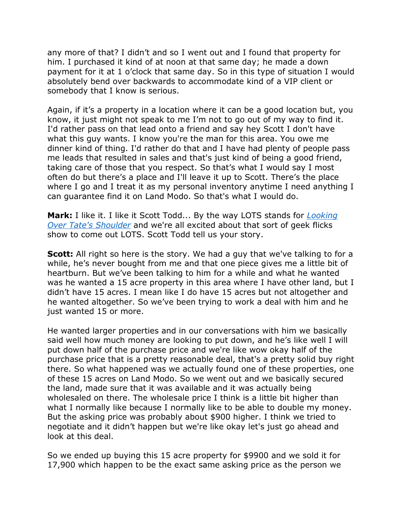any more of that? I didn't and so I went out and I found that property for him. I purchased it kind of at noon at that same day; he made a down payment for it at 1 o'clock that same day. So in this type of situation I would absolutely bend over backwards to accommodate kind of a VIP client or somebody that I know is serious.

Again, if it's a property in a location where it can be a good location but, you know, it just might not speak to me I'm not to go out of my way to find it. I'd rather pass on that lead onto a friend and say hey Scott I don't have what this guy wants. I know you're the man for this area. You owe me dinner kind of thing. I'd rather do that and I have had plenty of people pass me leads that resulted in sales and that's just kind of being a good friend, taking care of those that you respect. So that's what I would say I most often do but there's a place and I'll leave it up to Scott. There's the place where I go and I treat it as my personal inventory anytime I need anything I can guarantee find it on Land Modo. So that's what I would do.

**Mark:** I like it. I like it Scott Todd... By the way LOTS stands for *[Looking](https://www.thelandgeek.com/lots/)  [Over Tate's Shoulder](https://www.thelandgeek.com/lots/)* and we're all excited about that sort of geek flicks show to come out LOTS. Scott Todd tell us your story.

**Scott:** All right so here is the story. We had a guy that we've talking to for a while, he's never bought from me and that one piece gives me a little bit of heartburn. But we've been talking to him for a while and what he wanted was he wanted a 15 acre property in this area where I have other land, but I didn't have 15 acres. I mean like I do have 15 acres but not altogether and he wanted altogether. So we've been trying to work a deal with him and he just wanted 15 or more.

He wanted larger properties and in our conversations with him we basically said well how much money are looking to put down, and he's like well I will put down half of the purchase price and we're like wow okay half of the purchase price that is a pretty reasonable deal, that's a pretty solid buy right there. So what happened was we actually found one of these properties, one of these 15 acres on Land Modo. So we went out and we basically secured the land, made sure that it was available and it was actually being wholesaled on there. The wholesale price I think is a little bit higher than what I normally like because I normally like to be able to double my money. But the asking price was probably about \$900 higher. I think we tried to negotiate and it didn't happen but we're like okay let's just go ahead and look at this deal.

So we ended up buying this 15 acre property for \$9900 and we sold it for 17,900 which happen to be the exact same asking price as the person we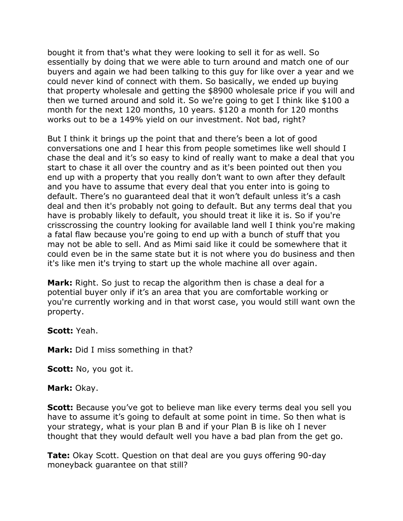bought it from that's what they were looking to sell it for as well. So essentially by doing that we were able to turn around and match one of our buyers and again we had been talking to this guy for like over a year and we could never kind of connect with them. So basically, we ended up buying that property wholesale and getting the \$8900 wholesale price if you will and then we turned around and sold it. So we're going to get I think like \$100 a month for the next 120 months, 10 years. \$120 a month for 120 months works out to be a 149% yield on our investment. Not bad, right?

But I think it brings up the point that and there's been a lot of good conversations one and I hear this from people sometimes like well should I chase the deal and it's so easy to kind of really want to make a deal that you start to chase it all over the country and as it's been pointed out then you end up with a property that you really don't want to own after they default and you have to assume that every deal that you enter into is going to default. There's no guaranteed deal that it won't default unless it's a cash deal and then it's probably not going to default. But any terms deal that you have is probably likely to default, you should treat it like it is. So if you're crisscrossing the country looking for available land well I think you're making a fatal flaw because you're going to end up with a bunch of stuff that you may not be able to sell. And as Mimi said like it could be somewhere that it could even be in the same state but it is not where you do business and then it's like men it's trying to start up the whole machine all over again.

**Mark:** Right. So just to recap the algorithm then is chase a deal for a potential buyer only if it's an area that you are comfortable working or you're currently working and in that worst case, you would still want own the property.

#### **Scott:** Yeah.

**Mark:** Did I miss something in that?

**Scott:** No, you got it.

#### **Mark:** Okay.

**Scott:** Because you've got to believe man like every terms deal you sell you have to assume it's going to default at some point in time. So then what is your strategy, what is your plan B and if your Plan B is like oh I never thought that they would default well you have a bad plan from the get go.

**Tate:** Okay Scott. Question on that deal are you guys offering 90-day moneyback guarantee on that still?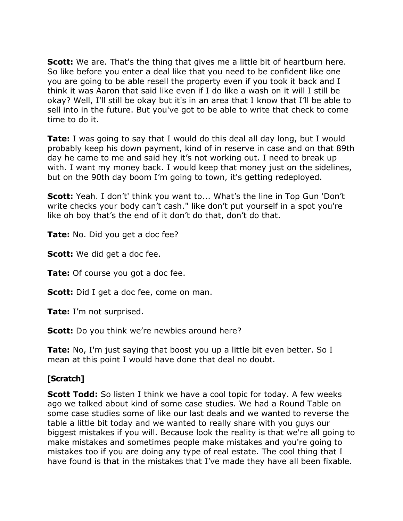**Scott:** We are. That's the thing that gives me a little bit of heartburn here. So like before you enter a deal like that you need to be confident like one you are going to be able resell the property even if you took it back and I think it was Aaron that said like even if I do like a wash on it will I still be okay? Well, I'll still be okay but it's in an area that I know that I'll be able to sell into in the future. But you've got to be able to write that check to come time to do it.

**Tate:** I was going to say that I would do this deal all day long, but I would probably keep his down payment, kind of in reserve in case and on that 89th day he came to me and said hey it's not working out. I need to break up with. I want my money back. I would keep that money just on the sidelines, but on the 90th day boom I'm going to town, it's getting redeployed.

**Scott:** Yeah. I don't' think you want to... What's the line in Top Gun 'Don't write checks your body can't cash." like don't put yourself in a spot you're like oh boy that's the end of it don't do that, don't do that.

**Tate:** No. Did you get a doc fee?

**Scott:** We did get a doc fee.

**Tate:** Of course you got a doc fee.

**Scott:** Did I get a doc fee, come on man.

**Tate:** I'm not surprised.

**Scott:** Do you think we're newbies around here?

**Tate:** No, I'm just saying that boost you up a little bit even better. So I mean at this point I would have done that deal no doubt.

## **[Scratch]**

**Scott Todd:** So listen I think we have a cool topic for today. A few weeks ago we talked about kind of some case studies. We had a Round Table on some case studies some of like our last deals and we wanted to reverse the table a little bit today and we wanted to really share with you guys our biggest mistakes if you will. Because look the reality is that we're all going to make mistakes and sometimes people make mistakes and you're going to mistakes too if you are doing any type of real estate. The cool thing that I have found is that in the mistakes that I've made they have all been fixable.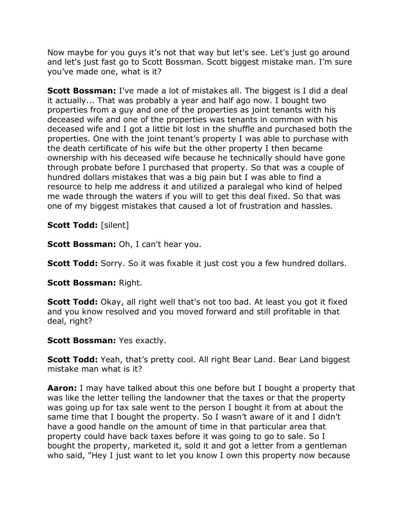Now maybe for you guys it's not that way but let's see. Let's just go around and let's just fast go to Scott Bossman. Scott biggest mistake man. I'm sure you've made one, what is it?

**Scott Bossman:** I've made a lot of mistakes all. The biggest is I did a deal it actually... That was probably a year and half ago now. I bought two properties from a guy and one of the properties as joint tenants with his deceased wife and one of the properties was tenants in common with his deceased wife and I got a little bit lost in the shuffle and purchased both the properties. One with the joint tenant's property I was able to purchase with the death certificate of his wife but the other property I then became ownership with his deceased wife because he technically should have gone through probate before I purchased that property. So that was a couple of hundred dollars mistakes that was a big pain but I was able to find a resource to help me address it and utilized a paralegal who kind of helped me wade through the waters if you will to get this deal fixed. So that was one of my biggest mistakes that caused a lot of frustration and hassles.

**Scott Todd:** [silent]

**Scott Bossman:** Oh, I can't hear you.

**Scott Todd:** Sorry. So it was fixable it just cost you a few hundred dollars.

**Scott Bossman:** Right.

**Scott Todd:** Okay, all right well that's not too bad. At least you got it fixed and you know resolved and you moved forward and still profitable in that deal, right?

## **Scott Bossman:** Yes exactly.

**Scott Todd:** Yeah, that's pretty cool. All right Bear Land. Bear Land biggest mistake man what is it?

**Aaron:** I may have talked about this one before but I bought a property that was like the letter telling the landowner that the taxes or that the property was going up for tax sale went to the person I bought it from at about the same time that I bought the property. So I wasn't aware of it and I didn't have a good handle on the amount of time in that particular area that property could have back taxes before it was going to go to sale. So I bought the property, marketed it, sold it and got a letter from a gentleman who said, "Hey I just want to let you know I own this property now because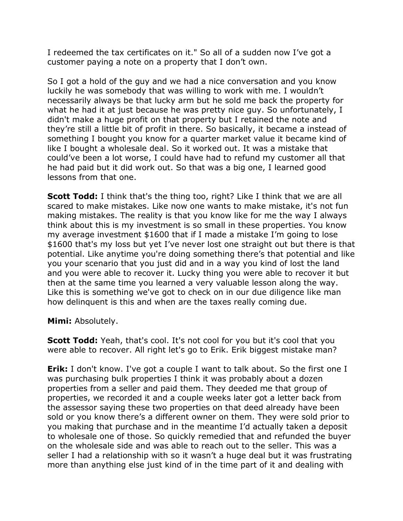I redeemed the tax certificates on it." So all of a sudden now I've got a customer paying a note on a property that I don't own.

So I got a hold of the guy and we had a nice conversation and you know luckily he was somebody that was willing to work with me. I wouldn't necessarily always be that lucky arm but he sold me back the property for what he had it at just because he was pretty nice guy. So unfortunately, I didn't make a huge profit on that property but I retained the note and they're still a little bit of profit in there. So basically, it became a instead of something I bought you know for a quarter market value it became kind of like I bought a wholesale deal. So it worked out. It was a mistake that could've been a lot worse, I could have had to refund my customer all that he had paid but it did work out. So that was a big one, I learned good lessons from that one.

**Scott Todd:** I think that's the thing too, right? Like I think that we are all scared to make mistakes. Like now one wants to make mistake, it's not fun making mistakes. The reality is that you know like for me the way I always think about this is my investment is so small in these properties. You know my average investment \$1600 that if I made a mistake I'm going to lose \$1600 that's my loss but yet I've never lost one straight out but there is that potential. Like anytime you're doing something there's that potential and like you your scenario that you just did and in a way you kind of lost the land and you were able to recover it. Lucky thing you were able to recover it but then at the same time you learned a very valuable lesson along the way. Like this is something we've got to check on in our due diligence like man how delinquent is this and when are the taxes really coming due.

**Mimi:** Absolutely.

**Scott Todd:** Yeah, that's cool. It's not cool for you but it's cool that you were able to recover. All right let's go to Erik. Erik biggest mistake man?

**Erik:** I don't know. I've got a couple I want to talk about. So the first one I was purchasing bulk properties I think it was probably about a dozen properties from a seller and paid them. They deeded me that group of properties, we recorded it and a couple weeks later got a letter back from the assessor saying these two properties on that deed already have been sold or you know there's a different owner on them. They were sold prior to you making that purchase and in the meantime I'd actually taken a deposit to wholesale one of those. So quickly remedied that and refunded the buyer on the wholesale side and was able to reach out to the seller. This was a seller I had a relationship with so it wasn't a huge deal but it was frustrating more than anything else just kind of in the time part of it and dealing with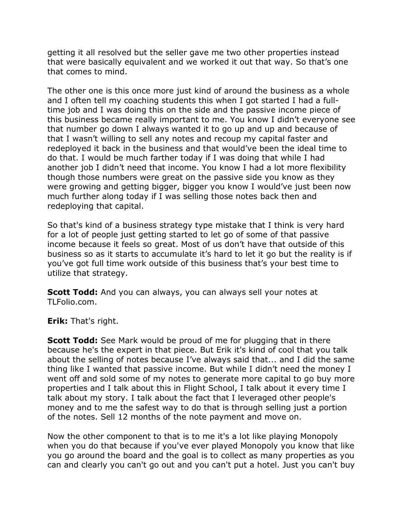getting it all resolved but the seller gave me two other properties instead that were basically equivalent and we worked it out that way. So that's one that comes to mind.

The other one is this once more just kind of around the business as a whole and I often tell my coaching students this when I got started I had a fulltime job and I was doing this on the side and the passive income piece of this business became really important to me. You know I didn't everyone see that number go down I always wanted it to go up and up and because of that I wasn't willing to sell any notes and recoup my capital faster and redeployed it back in the business and that would've been the ideal time to do that. I would be much farther today if I was doing that while I had another job I didn't need that income. You know I had a lot more flexibility though those numbers were great on the passive side you know as they were growing and getting bigger, bigger you know I would've just been now much further along today if I was selling those notes back then and redeploying that capital.

So that's kind of a business strategy type mistake that I think is very hard for a lot of people just getting started to let go of some of that passive income because it feels so great. Most of us don't have that outside of this business so as it starts to accumulate it's hard to let it go but the reality is if you've got full time work outside of this business that's your best time to utilize that strategy.

**Scott Todd:** And you can always, you can always sell your notes at TLFolio.com.

**Erik:** That's right.

**Scott Todd:** See Mark would be proud of me for plugging that in there because he's the expert in that piece. But Erik it's kind of cool that you talk about the selling of notes because I've always said that... and I did the same thing like I wanted that passive income. But while I didn't need the money I went off and sold some of my notes to generate more capital to go buy more properties and I talk about this in Flight School, I talk about it every time I talk about my story. I talk about the fact that I leveraged other people's money and to me the safest way to do that is through selling just a portion of the notes. Sell 12 months of the note payment and move on.

Now the other component to that is to me it's a lot like playing Monopoly when you do that because if you've ever played Monopoly you know that like you go around the board and the goal is to collect as many properties as you can and clearly you can't go out and you can't put a hotel. Just you can't buy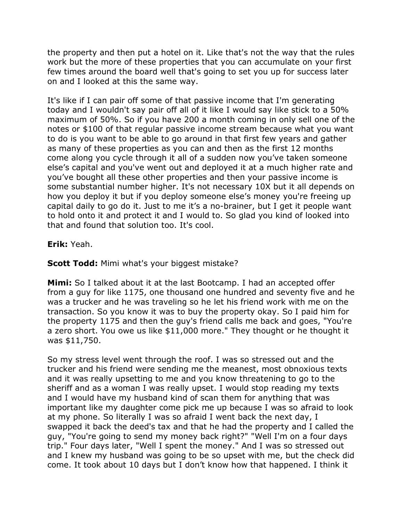the property and then put a hotel on it. Like that's not the way that the rules work but the more of these properties that you can accumulate on your first few times around the board well that's going to set you up for success later on and I looked at this the same way.

It's like if I can pair off some of that passive income that I'm generating today and I wouldn't say pair off all of it like I would say like stick to a 50% maximum of 50%. So if you have 200 a month coming in only sell one of the notes or \$100 of that regular passive income stream because what you want to do is you want to be able to go around in that first few years and gather as many of these properties as you can and then as the first 12 months come along you cycle through it all of a sudden now you've taken someone else's capital and you've went out and deployed it at a much higher rate and you've bought all these other properties and then your passive income is some substantial number higher. It's not necessary 10X but it all depends on how you deploy it but if you deploy someone else's money you're freeing up capital daily to go do it. Just to me it's a no-brainer, but I get it people want to hold onto it and protect it and I would to. So glad you kind of looked into that and found that solution too. It's cool.

**Erik:** Yeah.

**Scott Todd:** Mimi what's your biggest mistake?

**Mimi:** So I talked about it at the last Bootcamp. I had an accepted offer from a guy for like 1175, one thousand one hundred and seventy five and he was a trucker and he was traveling so he let his friend work with me on the transaction. So you know it was to buy the property okay. So I paid him for the property 1175 and then the guy's friend calls me back and goes, "You're a zero short. You owe us like \$11,000 more." They thought or he thought it was \$11,750.

So my stress level went through the roof. I was so stressed out and the trucker and his friend were sending me the meanest, most obnoxious texts and it was really upsetting to me and you know threatening to go to the sheriff and as a woman I was really upset. I would stop reading my texts and I would have my husband kind of scan them for anything that was important like my daughter come pick me up because I was so afraid to look at my phone. So literally I was so afraid I went back the next day, I swapped it back the deed's tax and that he had the property and I called the guy, "You're going to send my money back right?" "Well I'm on a four days trip." Four days later, "Well I spent the money." And I was so stressed out and I knew my husband was going to be so upset with me, but the check did come. It took about 10 days but I don't know how that happened. I think it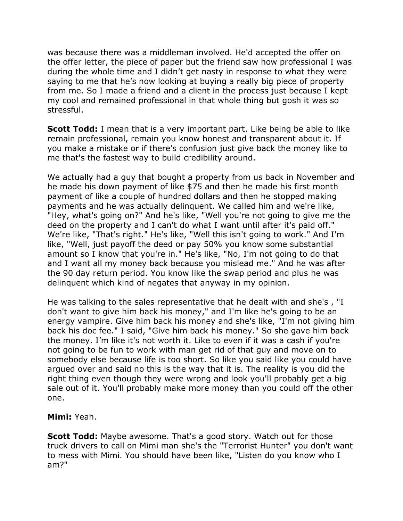was because there was a middleman involved. He'd accepted the offer on the offer letter, the piece of paper but the friend saw how professional I was during the whole time and I didn't get nasty in response to what they were saying to me that he's now looking at buying a really big piece of property from me. So I made a friend and a client in the process just because I kept my cool and remained professional in that whole thing but gosh it was so stressful.

**Scott Todd:** I mean that is a very important part. Like being be able to like remain professional, remain you know honest and transparent about it. If you make a mistake or if there's confusion just give back the money like to me that's the fastest way to build credibility around.

We actually had a guy that bought a property from us back in November and he made his down payment of like \$75 and then he made his first month payment of like a couple of hundred dollars and then he stopped making payments and he was actually delinquent. We called him and we're like, "Hey, what's going on?" And he's like, "Well you're not going to give me the deed on the property and I can't do what I want until after it's paid off." We're like, "That's right." He's like, "Well this isn't going to work." And I'm like, "Well, just payoff the deed or pay 50% you know some substantial amount so I know that you're in." He's like, "No, I'm not going to do that and I want all my money back because you mislead me." And he was after the 90 day return period. You know like the swap period and plus he was delinquent which kind of negates that anyway in my opinion.

He was talking to the sales representative that he dealt with and she's , "I don't want to give him back his money," and I'm like he's going to be an energy vampire. Give him back his money and she's like, "I'm not giving him back his doc fee." I said, "Give him back his money." So she gave him back the money. I'm like it's not worth it. Like to even if it was a cash if you're not going to be fun to work with man get rid of that guy and move on to somebody else because life is too short. So like you said like you could have argued over and said no this is the way that it is. The reality is you did the right thing even though they were wrong and look you'll probably get a big sale out of it. You'll probably make more money than you could off the other one.

## **Mimi:** Yeah.

**Scott Todd:** Maybe awesome. That's a good story. Watch out for those truck drivers to call on Mimi man she's the "Terrorist Hunter" you don't want to mess with Mimi. You should have been like, "Listen do you know who I am?"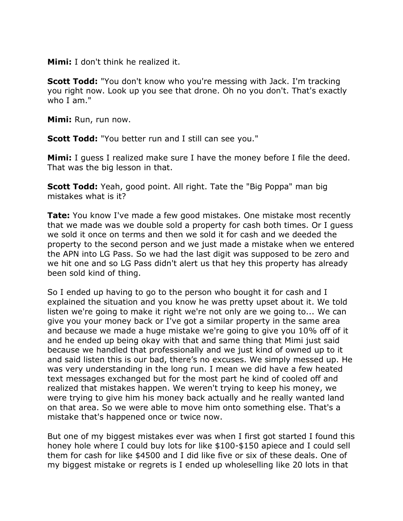**Mimi:** I don't think he realized it.

**Scott Todd:** "You don't know who you're messing with Jack. I'm tracking you right now. Look up you see that drone. Oh no you don't. That's exactly who I am."

**Mimi:** Run, run now.

**Scott Todd:** "You better run and I still can see you."

**Mimi:** I guess I realized make sure I have the money before I file the deed. That was the big lesson in that.

**Scott Todd:** Yeah, good point. All right. Tate the "Big Poppa" man big mistakes what is it?

**Tate:** You know I've made a few good mistakes. One mistake most recently that we made was we double sold a property for cash both times. Or I guess we sold it once on terms and then we sold it for cash and we deeded the property to the second person and we just made a mistake when we entered the APN into LG Pass. So we had the last digit was supposed to be zero and we hit one and so LG Pass didn't alert us that hey this property has already been sold kind of thing.

So I ended up having to go to the person who bought it for cash and I explained the situation and you know he was pretty upset about it. We told listen we're going to make it right we're not only are we going to... We can give you your money back or I've got a similar property in the same area and because we made a huge mistake we're going to give you 10% off of it and he ended up being okay with that and same thing that Mimi just said because we handled that professionally and we just kind of owned up to it and said listen this is our bad, there's no excuses. We simply messed up. He was very understanding in the long run. I mean we did have a few heated text messages exchanged but for the most part he kind of cooled off and realized that mistakes happen. We weren't trying to keep his money, we were trying to give him his money back actually and he really wanted land on that area. So we were able to move him onto something else. That's a mistake that's happened once or twice now.

But one of my biggest mistakes ever was when I first got started I found this honey hole where I could buy lots for like \$100-\$150 apiece and I could sell them for cash for like \$4500 and I did like five or six of these deals. One of my biggest mistake or regrets is I ended up wholeselling like 20 lots in that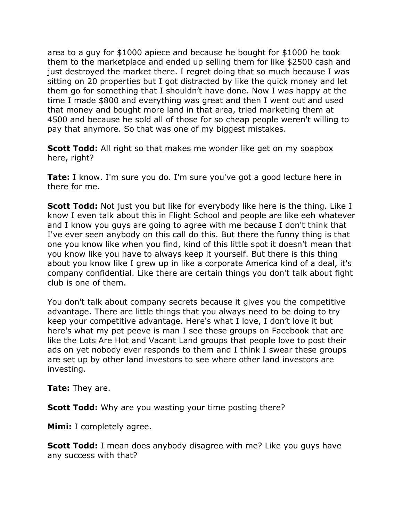area to a guy for \$1000 apiece and because he bought for \$1000 he took them to the marketplace and ended up selling them for like \$2500 cash and just destroyed the market there. I regret doing that so much because I was sitting on 20 properties but I got distracted by like the quick money and let them go for something that I shouldn't have done. Now I was happy at the time I made \$800 and everything was great and then I went out and used that money and bought more land in that area, tried marketing them at 4500 and because he sold all of those for so cheap people weren't willing to pay that anymore. So that was one of my biggest mistakes.

**Scott Todd:** All right so that makes me wonder like get on my soapbox here, right?

**Tate:** I know. I'm sure you do. I'm sure you've got a good lecture here in there for me.

**Scott Todd:** Not just you but like for everybody like here is the thing. Like I know I even talk about this in Flight School and people are like eeh whatever and I know you guys are going to agree with me because I don't think that I've ever seen anybody on this call do this. But there the funny thing is that one you know like when you find, kind of this little spot it doesn't mean that you know like you have to always keep it yourself. But there is this thing about you know like I grew up in like a corporate America kind of a deal, it's company confidential. Like there are certain things you don't talk about fight club is one of them.

You don't talk about company secrets because it gives you the competitive advantage. There are little things that you always need to be doing to try keep your competitive advantage. Here's what I love, I don't love it but here's what my pet peeve is man I see these groups on Facebook that are like the Lots Are Hot and Vacant Land groups that people love to post their ads on yet nobody ever responds to them and I think I swear these groups are set up by other land investors to see where other land investors are investing.

**Tate:** They are.

**Scott Todd:** Why are you wasting your time posting there?

**Mimi:** I completely agree.

**Scott Todd:** I mean does anybody disagree with me? Like you guys have any success with that?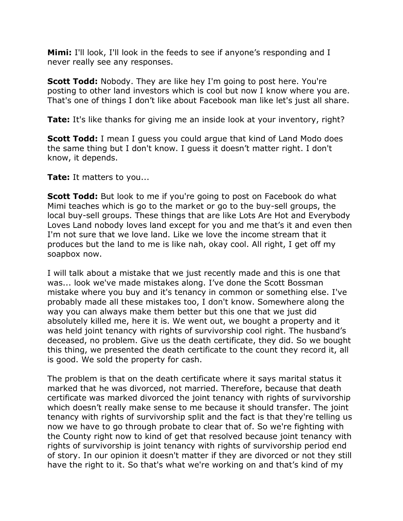**Mimi:** I'll look, I'll look in the feeds to see if anyone's responding and I never really see any responses.

**Scott Todd:** Nobody. They are like hey I'm going to post here. You're posting to other land investors which is cool but now I know where you are. That's one of things I don't like about Facebook man like let's just all share.

**Tate:** It's like thanks for giving me an inside look at your inventory, right?

**Scott Todd:** I mean I guess you could argue that kind of Land Modo does the same thing but I don't know. I guess it doesn't matter right. I don't know, it depends.

**Tate:** It matters to you...

**Scott Todd:** But look to me if you're going to post on Facebook do what Mimi teaches which is go to the market or go to the buy-sell groups, the local buy-sell groups. These things that are like Lots Are Hot and Everybody Loves Land nobody loves land except for you and me that's it and even then I'm not sure that we love land. Like we love the income stream that it produces but the land to me is like nah, okay cool. All right, I get off my soapbox now.

I will talk about a mistake that we just recently made and this is one that was... look we've made mistakes along. I've done the Scott Bossman mistake where you buy and it's tenancy in common or something else. I've probably made all these mistakes too, I don't know. Somewhere along the way you can always make them better but this one that we just did absolutely killed me, here it is. We went out, we bought a property and it was held joint tenancy with rights of survivorship cool right. The husband's deceased, no problem. Give us the death certificate, they did. So we bought this thing, we presented the death certificate to the count they record it, all is good. We sold the property for cash.

The problem is that on the death certificate where it says marital status it marked that he was divorced, not married. Therefore, because that death certificate was marked divorced the joint tenancy with rights of survivorship which doesn't really make sense to me because it should transfer. The joint tenancy with rights of survivorship split and the fact is that they're telling us now we have to go through probate to clear that of. So we're fighting with the County right now to kind of get that resolved because joint tenancy with rights of survivorship is joint tenancy with rights of survivorship period end of story. In our opinion it doesn't matter if they are divorced or not they still have the right to it. So that's what we're working on and that's kind of my